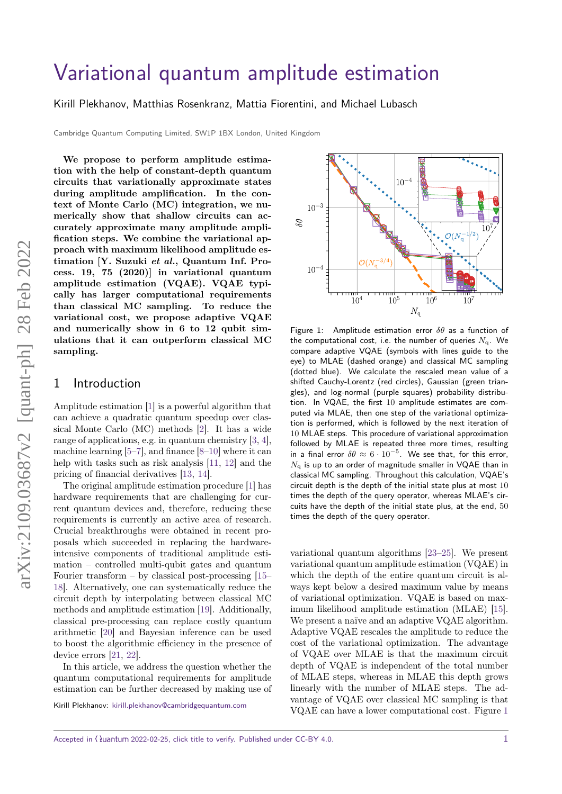# [Variational quantum amplitude estimation](https://quantum-journal.org/?s=Variational%20quantum%20amplitude%20estimation&reason=title-click)

[Kirill Plekhanov,](https://orcid.org/0000-0001-7790-9309) [Matthias Rosenkranz,](https://orcid.org/0000-0002-1605-9141) [Mattia Fiorentini,](https://orcid.org/0000-0001-5832-353X) and [Michael Lubasch](https://orcid.org/0000-0002-2636-9936)

Cambridge Quantum Computing Limited, SW1P 1BX London, United Kingdom

**We propose to perform amplitude estimation with the help of constant-depth quantum circuits that variationally approximate states during amplitude amplification. In the context of Monte Carlo (MC) integration, we numerically show that shallow circuits can accurately approximate many amplitude amplification steps. We combine the variational approach with maximum likelihood amplitude estimation [Y. Suzuki** *et al.***, Quantum Inf. Process. 19, 75 (2020)] in variational quantum amplitude estimation (VQAE). VQAE typically has larger computational requirements than classical MC sampling. To reduce the variational cost, we propose adaptive VQAE and numerically show in 6 to 12 qubit simulations that it can outperform classical MC sampling.**

### 1 Introduction

Amplitude estimation [\[1\]](#page-8-0) is a powerful algorithm that can achieve a quadratic quantum speedup over classical Monte Carlo (MC) methods [\[2\]](#page-8-1). It has a wide range of applications, e.g. in quantum chemistry [\[3,](#page-8-2) [4\]](#page-8-3), machine learning  $[5-7]$  $[5-7]$ , and finance  $[8-10]$  $[8-10]$  where it can help with tasks such as risk analysis [\[11,](#page-8-8) [12\]](#page-8-9) and the pricing of financial derivatives [\[13,](#page-8-10) [14\]](#page-8-11).

The original amplitude estimation procedure [\[1\]](#page-8-0) has hardware requirements that are challenging for current quantum devices and, therefore, reducing these requirements is currently an active area of research. Crucial breakthroughs were obtained in recent proposals which succeeded in replacing the hardwareintensive components of traditional amplitude estimation – controlled multi-qubit gates and quantum Fourier transform – by classical post-processing  $[15-$ [18\]](#page-8-13). Alternatively, one can systematically reduce the circuit depth by interpolating between classical MC methods and amplitude estimation [\[19\]](#page-8-14). Additionally, classical pre-processing can replace costly quantum arithmetic [\[20\]](#page-8-15) and Bayesian inference can be used to boost the algorithmic efficiency in the presence of device errors [\[21,](#page-8-16) [22\]](#page-8-17).

In this article, we address the question whether the quantum computational requirements for amplitude estimation can be further decreased by making use of

Kirill Plekhanov: [kirill.plekhanov@cambridgequantum.com](mailto:kirill.plekhanov@cambridgequantum.com)

<span id="page-0-0"></span>

Figure 1: Amplitude estimation error *δθ* as a function of the computational cost, i.e. the number of queries  $N<sub>q</sub>$ . We compare adaptive VQAE (symbols with lines guide to the eye) to MLAE (dashed orange) and classical MC sampling (dotted blue). We calculate the rescaled mean value of a shifted Cauchy-Lorentz (red circles), Gaussian (green triangles), and log-normal (purple squares) probability distribution. In VQAE, the first 10 amplitude estimates are computed via MLAE, then one step of the variational optimization is performed, which is followed by the next iteration of 10 MLAE steps. This procedure of variational approximation followed by MLAE is repeated three more times, resulting in a final error  $\delta\theta \approx 6 \cdot 10^{-5}$ . We see that, for this error,  $N_a$  is up to an order of magnitude smaller in VQAE than in classical MC sampling. Throughout this calculation, VQAE's circuit depth is the depth of the initial state plus at most 10 times the depth of the query operator, whereas MLAE's circuits have the depth of the initial state plus, at the end, 50 times the depth of the query operator.

variational quantum algorithms [\[23–](#page-8-18)[25\]](#page-9-0). We present variational quantum amplitude estimation (VQAE) in which the depth of the entire quantum circuit is always kept below a desired maximum value by means of variational optimization. VQAE is based on maximum likelihood amplitude estimation (MLAE) [\[15\]](#page-8-12). We present a naïve and an adaptive VQAE algorithm. Adaptive VQAE rescales the amplitude to reduce the cost of the variational optimization. The advantage of VQAE over MLAE is that the maximum circuit depth of VQAE is independent of the total number of MLAE steps, whereas in MLAE this depth grows linearly with the number of MLAE steps. The advantage of VQAE over classical MC sampling is that VQAE can have a lower computational cost. Figure [1](#page-0-0)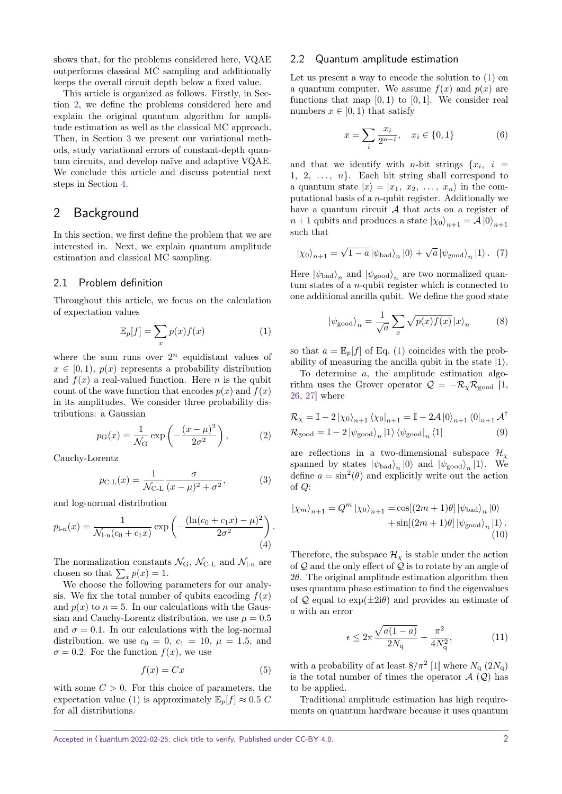shows that, for the problems considered here, VQAE outperforms classical MC sampling and additionally keeps the overall circuit depth below a fixed value.

This article is organized as follows. Firstly, in Section [2,](#page-1-0) we define the problems considered here and explain the original quantum algorithm for amplitude estimation as well as the classical MC approach. Then, in Section [3](#page-2-0) we present our variational methods, study variational errors of constant-depth quantum circuits, and develop naïve and adaptive VQAE. We conclude this article and discuss potential next steps in Section [4.](#page-7-0)

## <span id="page-1-0"></span>2 Background

In this section, we first define the problem that we are interested in. Next, we explain quantum amplitude estimation and classical MC sampling.

#### 2.1 Problem definition

Throughout this article, we focus on the calculation of expectation values

$$
\mathbb{E}_p[f] = \sum_x p(x)f(x) \tag{1}
$$

where the sum runs over  $2^n$  equidistant values of  $x \in [0, 1)$ ,  $p(x)$  represents a probability distribution and  $f(x)$  a real-valued function. Here *n* is the qubit count of the wave function that encodes  $p(x)$  and  $f(x)$ in its amplitudes. We consider three probability distributions: a Gaussian

$$
p_{\mathcal{G}}(x) = \frac{1}{\mathcal{N}_{\mathcal{G}}} \exp\left(-\frac{(x-\mu)^2}{2\sigma^2}\right),\tag{2}
$$

Cauchy-Lorentz

$$
p_{\text{C-L}}(x) = \frac{1}{\mathcal{N}_{\text{C-L}}} \frac{\sigma}{(x - \mu)^2 + \sigma^2},
$$
 (3)

and log-normal distribution

$$
p_{1-n}(x) = \frac{1}{\mathcal{N}_{1-n}(c_0 + c_1 x)} \exp\left(-\frac{(\ln(c_0 + c_1 x) - \mu)^2}{2\sigma^2}\right).
$$
\n(4)

The normalization constants  $\mathcal{N}_{G}$ ,  $\mathcal{N}_{C-L}$  and  $\mathcal{N}_{L}$  are chosen so that  $\sum_{x} p(x) = 1$ .

We choose the following parameters for our analysis. We fix the total number of qubits encoding  $f(x)$ and  $p(x)$  to  $n = 5$ . In our calculations with the Gaussian and Cauchy-Lorentz distribution, we use  $\mu = 0.5$ and  $\sigma = 0.1$ . In our calculations with the log-normal distribution, we use  $c_0 = 0$ ,  $c_1 = 10$ ,  $\mu = 1.5$ , and  $\sigma = 0.2$ . For the function  $f(x)$ , we use

$$
f(x) = Cx \tag{5}
$$

with some  $C > 0$ . For this choice of parameters, the expectation value [\(1\)](#page-1-1) is approximately  $\mathbb{E}_p[f] \approx 0.5 \, C$ for all distributions.

#### 2.2 Quantum amplitude estimation

Let us present a way to encode the solution to [\(1\)](#page-1-1) on a quantum computer. We assume  $f(x)$  and  $p(x)$  are functions that map  $[0,1)$  to  $[0,1]$ . We consider real numbers  $x \in [0, 1)$  that satisfy

$$
x = \sum_{i} \frac{x_i}{2^{n-i}}, \quad x_i \in \{0, 1\} \tag{6}
$$

and that we identify with *n*-bit strings  $\{x_i, i\}$ 1, 2,  $\ldots$ , *n*}. Each bit string shall correspond to a quantum state  $|x\rangle = |x_1, x_2, \ldots, x_n\rangle$  in the computational basis of a *n*-qubit register. Additionally we have a quantum circuit  $A$  that acts on a register of  $n+1$  qubits and produces a state  $|\chi_0\rangle_{n+1} = A |0\rangle_{n+1}$ such that

$$
\left|\chi_{0}\right\rangle_{n+1} = \sqrt{1-a} \left|\psi_{\text{bad}}\right\rangle_{n} \left|0\right\rangle + \sqrt{a} \left|\psi_{\text{good}}\right\rangle_{n} \left|1\right\rangle. (7)
$$

Here  $|\psi_{bad}\rangle_n$  and  $|\psi_{good}\rangle_n$  are two normalized quantum states of a *n*-qubit register which is connected to one additional ancilla qubit. We define the good state

<span id="page-1-3"></span><span id="page-1-2"></span>
$$
|\psi_{\text{good}}\rangle_n = \frac{1}{\sqrt{a}} \sum_x \sqrt{p(x)f(x)} |x\rangle_n \tag{8}
$$

<span id="page-1-1"></span>so that  $a = \mathbb{E}_p[f]$  of Eq. [\(1\)](#page-1-1) coincides with the probability of measuring the ancilla qubit in the state  $|1\rangle$ .

To determine *a*, the amplitude estimation algorithm uses the Grover operator  $\mathcal{Q} = -\mathcal{R}_{\chi} \mathcal{R}_{\text{good}}$  [\[1,](#page-8-0) [26,](#page-9-1) [27\]](#page-9-2) where

<span id="page-1-4"></span>
$$
\mathcal{R}_{\chi} = \mathbb{I} - 2 \left| \chi_0 \right\rangle_{n+1} \left\langle \chi_0 \right|_{n+1} = \mathbb{I} - 2\mathcal{A} \left| 0 \right\rangle_{n+1} \left\langle 0 \right|_{n+1} \mathcal{A}^{\dagger}
$$

$$
\mathcal{R}_{\text{good}} = \mathbb{I} - 2 \left| \psi_{\text{good}} \right\rangle_n \left| 1 \right\rangle \left\langle \psi_{\text{good}} \right|_n \left\langle 1 \right| \tag{9}
$$

are reflections in a two-dimensional subspace  $\mathcal{H}_{\chi}$ spanned by states  $|\psi_{bad}\rangle_n |0\rangle$  and  $|\psi_{good}\rangle_n |1\rangle$ . We define  $a = \sin^2(\theta)$  and explicitly write out the action of *Q*:

$$
|\chi_m\rangle_{n+1} = Q^m |\chi_0\rangle_{n+1} = \cos[(2m+1)\theta] |\psi_{\text{bad}}\rangle_n |0\rangle + \sin[(2m+1)\theta] |\psi_{\text{good}}\rangle_n |1\rangle.
$$
\n(10)

<span id="page-1-5"></span>Therefore, the subspace  $\mathcal{H}_\chi$  is stable under the action of  $Q$  and the only effect of  $Q$  is to rotate by an angle of 2*θ*. The original amplitude estimation algorithm then uses quantum phase estimation to find the eigenvalues of  $\mathcal Q$  equal to  $\exp(\pm 2i\theta)$  and provides an estimate of *a* with an error

$$
\epsilon \le 2\pi \frac{\sqrt{a(1-a)}}{2N_{\mathbf{q}}} + \frac{\pi^2}{4N_{\mathbf{q}}^2},\tag{11}
$$

with a probability of at least  $8/\pi^2$  [\[1\]](#page-8-0) where  $N_q$  (2 $N_q$ ) is the total number of times the operator  $\mathcal{A}(\mathcal{Q})$  has to be applied.

Traditional amplitude estimation has high requirements on quantum hardware because it uses quantum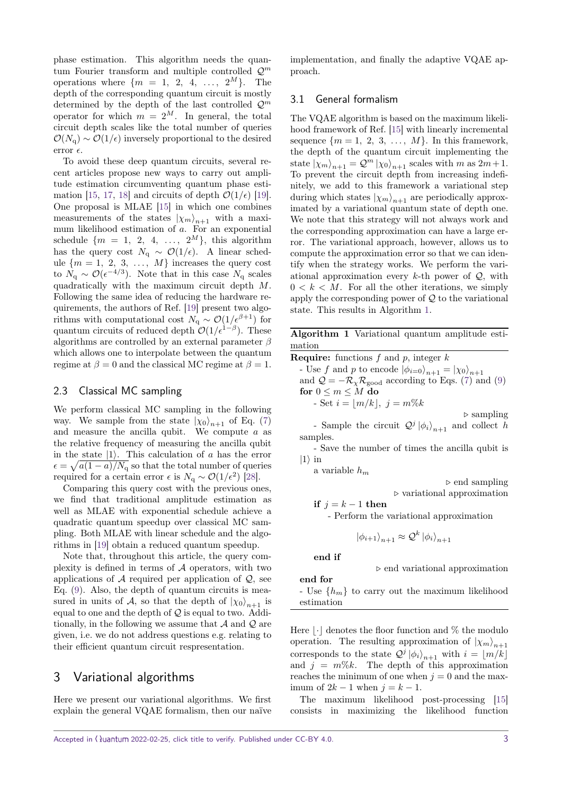phase estimation. This algorithm needs the quantum Fourier transform and multiple controlled Q*<sup>m</sup>* operations where  $\{m = 1, 2, 4, ..., 2^M\}$ . The depth of the corresponding quantum circuit is mostly determined by the depth of the last controlled Q*<sup>m</sup>* operator for which  $m = 2^M$ . In general, the total circuit depth scales like the total number of queries  $\mathcal{O}(N_q) \sim \mathcal{O}(1/\epsilon)$  inversely proportional to the desired error  $\epsilon$ .

To avoid these deep quantum circuits, several recent articles propose new ways to carry out amplitude estimation circumventing quantum phase esti-mation [\[15,](#page-8-12) [17,](#page-8-19) [18\]](#page-8-13) and circuits of depth  $\mathcal{O}(1/\epsilon)$  [\[19\]](#page-8-14). One proposal is MLAE [\[15\]](#page-8-12) in which one combines measurements of the states  $|\chi_m\rangle_{n+1}$  with a maximum likelihood estimation of *a*. For an exponential schedule  $\{m = 1, 2, 4, \ldots, 2^M\}$ , this algorithm has the query cost  $N_q \sim \mathcal{O}(1/\epsilon)$ . A linear schedule  ${m = 1, 2, 3, \ldots, M}$  increases the query cost to  $N_{\rm q} \sim \mathcal{O}(\epsilon^{-4/3})$ . Note that in this case  $N_{\rm q}$  scales quadratically with the maximum circuit depth *M*. Following the same idea of reducing the hardware requirements, the authors of Ref. [\[19\]](#page-8-14) present two algorithms with computational cost  $N_q \sim \mathcal{O}(1/\epsilon^{\beta+1})$  for quantum circuits of reduced depth  $\mathcal{O}(1/\epsilon^{1-\beta})$ . These algorithms are controlled by an external parameter *β* which allows one to interpolate between the quantum regime at  $\beta = 0$  and the classical MC regime at  $\beta = 1$ .

#### 2.3 Classical MC sampling

We perform classical MC sampling in the following way. We sample from the state  $|\chi_0\rangle_{n+1}$  of Eq. [\(7\)](#page-1-2) and measure the ancilla qubit. We compute *a* as the relative frequency of measuring the ancilla qubit in the state  $|1\rangle$ . This calculation of *a* has the error  $\epsilon = \sqrt{a(1-a)/N_q}$  so that the total number of queries required for a certain error  $\epsilon$  is *N*<sub>q</sub> ∼  $\mathcal{O}(1/\epsilon^2)$  [\[28\]](#page-9-3).

Comparing this query cost with the previous ones, we find that traditional amplitude estimation as well as MLAE with exponential schedule achieve a quadratic quantum speedup over classical MC sampling. Both MLAE with linear schedule and the algorithms in [\[19\]](#page-8-14) obtain a reduced quantum speedup.

Note that, throughout this article, the query complexity is defined in terms of  $A$  operators, with two applications of  $A$  required per application of  $Q$ , see Eq. [\(9\)](#page-1-3). Also, the depth of quantum circuits is measured in units of A, so that the depth of  $|\chi_0\rangle_{n+1}$  is equal to one and the depth of  $Q$  is equal to two. Additionally, in the following we assume that  $A$  and  $Q$  are given, i.e. we do not address questions e.g. relating to their efficient quantum circuit respresentation.

## <span id="page-2-0"></span>3 Variational algorithms

Here we present our variational algorithms. We first explain the general VQAE formalism, then our naïve implementation, and finally the adaptive VQAE approach.

#### 3.1 General formalism

The VQAE algorithm is based on the maximum likelihood framework of Ref. [\[15\]](#page-8-12) with linearly incremental sequence  $\{m = 1, 2, 3, \ldots, M\}$ . In this framework, the depth of the quantum circuit implementing the state  $|\chi_m\rangle_{n+1} = \mathcal{Q}^m |\chi_0\rangle_{n+1}$  scales with *m* as  $2m+1$ . To prevent the circuit depth from increasing indefinitely, we add to this framework a variational step during which states  $|\chi_m\rangle_{n+1}$  are periodically approximated by a variational quantum state of depth one. We note that this strategy will not always work and the corresponding approximation can have a large error. The variational approach, however, allows us to compute the approximation error so that we can identify when the strategy works. We perform the variational approximation every *k*-th power of Q, with  $0 < k < M$ . For all the other iterations, we simply apply the corresponding power of  $\mathcal Q$  to the variational state. This results in Algorithm [1.](#page-2-1)

<span id="page-2-1"></span>**Algorithm 1** Variational quantum amplitude estimation

**Require:** functions *f* and *p*, integer *k* - Use *f* and *p* to encode  $|\phi_{i=0}\rangle_{n+1} = |\chi_0\rangle_{n+1}$ and  $\mathcal{Q} = -\mathcal{R}_{\chi} \mathcal{R}_{\text{good}}$  according to Eqs. [\(7\)](#page-1-2) and [\(9\)](#page-1-3) **for**  $0 \le m \le M$  **do**  $-$  Set  $i = |m/k|, j = m\%k$ *.* sampling

- Sample the circuit  $Q^j |\phi_i\rangle_{n+1}$  and collect *h* samples.

- Save the number of times the ancilla qubit is  $|1\rangle$  in

a variable *h<sup>m</sup>*

*.* end sampling

*.* variational approximation

**if**  $j = k - 1$  **then** 

- Perform the variational approximation

$$
\left|\phi_{i+1}\right\rangle_{n+1} \approx \mathcal{Q}^k \left|\phi_i\right\rangle_{n+1}
$$

**end if**

**end for**

*.* end variational approximation

- Use {*hm*} to carry out the maximum likelihood estimation

Here  $|\cdot|$  denotes the floor function and % the modulo operation. The resulting approximation of  $|\chi_m\rangle_{n+1}$ corresponds to the state  $Q^j |\phi_i\rangle_{n+1}$  with  $i = \lfloor m/k \rfloor$ and  $j = m\%k$ . The depth of this approximation reaches the minimum of one when  $j = 0$  and the maximum of  $2k - 1$  when  $j = k - 1$ .

The maximum likelihood post-processing [\[15\]](#page-8-12) consists in maximizing the likelihood function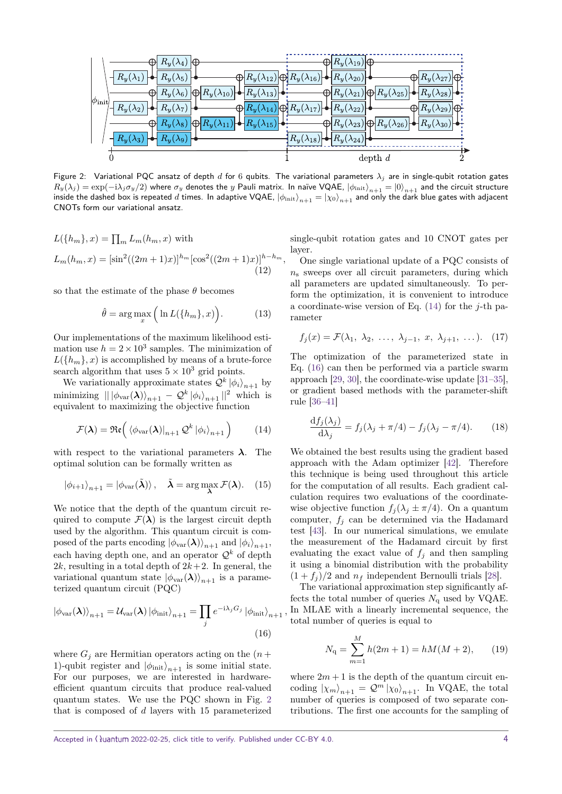<span id="page-3-0"></span>

Figure 2: Variational PQC ansatz of depth *d* for 6 qubits. The variational parameters *λ<sup>j</sup>* are in single-qubit rotation gates  $R_y(\lambda_j)=\exp(-i\lambda_j\sigma_y/2)$  where  $\sigma_y$  denotes the  $y$  Pauli matrix. In naïve VQAE,  $\ket{\phi_\text{init}}_{n+1}=\ket{0}_{n+1}$  and the circuit structure inside the dashed box is repeated *d* times. In adaptive VQAE,  $|\phi_{init}\rangle_{n+1} = |\chi_0\rangle_{n+1}$  and only the dark blue gates with adjacent CNOTs form our variational ansatz.

$$
L({h_m},x) = \prod_m L_m(h_m,x) \text{ with}
$$
  
\n
$$
L_m(h_m,x) = [\sin^2((2m+1)x)]^{h_m} [\cos^2((2m+1)x)]^{h-h_m},
$$
  
\n(12)

so that the estimate of the phase  $\theta$  becomes

$$
\hat{\theta} = \arg \max_{x} \left( \ln L(\{h_m\}, x) \right). \tag{13}
$$

Our implementations of the maximum likelihood estimation use  $h = 2 \times 10^3$  samples. The minimization of  $L({h_m}, x)$  is accomplished by means of a brute-force search algorithm that uses  $5 \times 10^3$  grid points.

We variationally approximate states  $Q^k |\phi_i\rangle_{n+1}$  by minimizing  $\| |\phi_{\text{var}}(\boldsymbol{\lambda})\rangle_{n+1} - \mathcal{Q}^k |\phi_i\rangle_{n+1} \|^{2}$  which is equivalent to maximizing the objective function

$$
\mathcal{F}(\boldsymbol{\lambda}) = \Re\mathfrak{e}\left(\left.\langle \phi_{\text{var}}(\boldsymbol{\lambda})\right|_{n+1} \mathcal{Q}^k \left|\phi_i\right\rangle_{n+1}\right) \tag{14}
$$

with respect to the variational parameters  $\lambda$ . The optimal solution can be formally written as

$$
|\phi_{i+1}\rangle_{n+1} = |\phi_{\text{var}}(\tilde{\boldsymbol{\lambda}})\rangle, \quad \tilde{\boldsymbol{\lambda}} = \arg\max_{\boldsymbol{\lambda}} \mathcal{F}(\boldsymbol{\lambda}). \quad (15)
$$

We notice that the depth of the quantum circuit required to compute  $\mathcal{F}(\lambda)$  is the largest circuit depth used by the algorithm. This quantum circuit is composed of the parts encoding  $|\phi_{\text{var}}(\lambda)\rangle_{n+1}$  and  $|\phi_i\rangle_{n+1}$ , each having depth one, and an operator  $\mathcal{Q}^k$  of depth 2*k*, resulting in a total depth of  $2k+2$ . In general, the variational quantum state  $|\phi_{\text{var}}(\lambda)\rangle_{n+1}$  is a parameterized quantum circuit (PQC)

$$
\left|\phi_{\text{var}}(\boldsymbol{\lambda})\right\rangle_{n+1} = \mathcal{U}_{\text{var}}(\boldsymbol{\lambda}) \left|\phi_{\text{init}}\right\rangle_{n+1} = \prod_{j} e^{-i\lambda_j G_j} \left|\phi_{\text{init}}\right\rangle_{n+1},
$$
\n(16)

where  $G_j$  are Hermitian operators acting on the  $(n +$ 1)-qubit register and  $|\phi_{\text{init}}\rangle_{n+1}$  is some initial state. For our purposes, we are interested in hardwareefficient quantum circuits that produce real-valued quantum states. We use the PQC shown in Fig. [2](#page-3-0) that is composed of *d* layers with 15 parameterized

single-qubit rotation gates and 10 CNOT gates per layer.

One single variational update of a PQC consists of  $n_s$  sweeps over all circuit parameters, during which all parameters are updated simultaneously. To perform the optimization, it is convenient to introduce a coordinate-wise version of Eq. [\(14\)](#page-3-1) for the *j*-th parameter

$$
f_j(x) = \mathcal{F}(\lambda_1, \lambda_2, \ldots, \lambda_{j-1}, x, \lambda_{j+1}, \ldots). \tag{17}
$$

The optimization of the parameterized state in Eq. [\(16\)](#page-3-2) can then be performed via a particle swarm approach [\[29,](#page-9-4) [30\]](#page-9-5), the coordinate-wise update [\[31–](#page-9-6)[35\]](#page-9-7), or gradient based methods with the parameter-shift rule [\[36](#page-9-8)[–41\]](#page-9-9)

<span id="page-3-4"></span>
$$
\frac{\mathrm{d}f_j(\lambda_j)}{\mathrm{d}\lambda_j} = f_j(\lambda_j + \pi/4) - f_j(\lambda_j - \pi/4). \tag{18}
$$

<span id="page-3-1"></span>We obtained the best results using the gradient based approach with the Adam optimizer [\[42\]](#page-9-10). Therefore this technique is being used throughout this article for the computation of all results. Each gradient calculation requires two evaluations of the coordinatewise objective function  $f_j(\lambda_j \pm \pi/4)$ . On a quantum computer,  $f_j$  can be determined via the Hadamard test [\[43\]](#page-9-11). In our numerical simulations, we emulate the measurement of the Hadamard circuit by first evaluating the exact value of  $f_j$  and then sampling it using a binomial distribution with the probability  $(1 + f_i)/2$  and  $n_f$  independent Bernoulli trials [\[28\]](#page-9-3).

<span id="page-3-2"></span>The variational approximation step significantly affects the total number of queries  $N_{q}$  used by VQAE. In MLAE with a linearly incremental sequence, the total number of queries is equal to

<span id="page-3-3"></span>
$$
N_{\mathbf{q}} = \sum_{m=1}^{M} h(2m+1) = hM(M+2), \qquad (19)
$$

where  $2m + 1$  is the depth of the quantum circuit encoding  $|\chi_m\rangle_{n+1} = \mathcal{Q}^m |\chi_0\rangle_{n+1}$ . In VQAE, the total number of queries is composed of two separate contributions. The first one accounts for the sampling of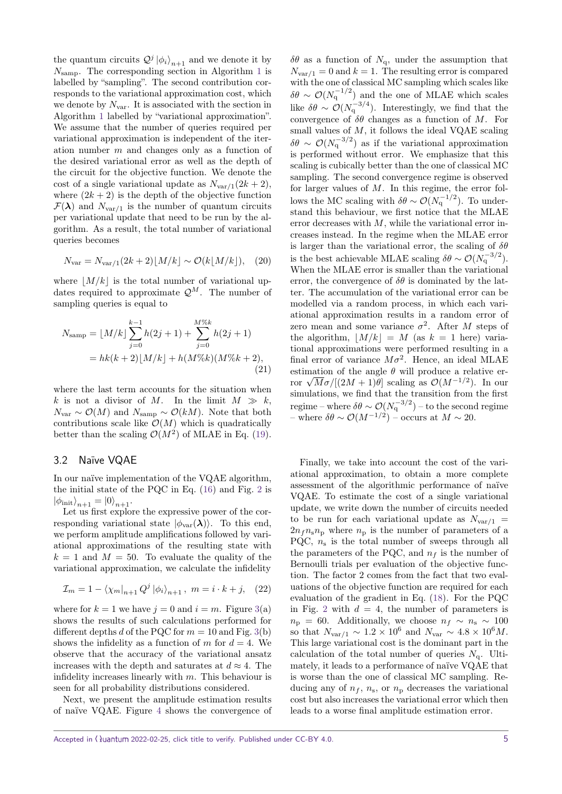the quantum circuits  $Q^{j} |\phi_{i}\rangle_{n+1}$  and we denote it by *N*samp. The corresponding section in Algorithm [1](#page-2-1) is labelled by "sampling". The second contribution corresponds to the variational approximation cost, which we denote by  $N_{\text{var}}$ . It is associated with the section in Algorithm [1](#page-2-1) labelled by "variational approximation". We assume that the number of queries required per variational approximation is independent of the iteration number *m* and changes only as a function of the desired variational error as well as the depth of the circuit for the objective function. We denote the cost of a single variational update as  $N_{var/1}(2k+2)$ , where  $(2k + 2)$  is the depth of the objective function  $\mathcal{F}(\lambda)$  and  $N_{var/1}$  is the number of quantum circuits per variational update that need to be run by the algorithm. As a result, the total number of variational queries becomes

$$
N_{\text{var}} = N_{\text{var}/1}(2k+2)[M/k] \sim \mathcal{O}(k[M/k]), \quad (20)
$$

where  $|M/k|$  is the total number of variational updates required to approximate  $\mathcal{Q}^M$ . The number of sampling queries is equal to

$$
N_{\text{samp}} = \lfloor M/k \rfloor \sum_{j=0}^{k-1} h(2j+1) + \sum_{j=0}^{M\%k} h(2j+1)
$$
  
=  $hk(k+2)\lfloor M/k \rfloor + h(M\%k)(M\%k+2),$  (21)

where the last term accounts for the situation when k is not a divisor of M. In the limit  $M \gg k$ ,  $N_{\text{var}} \sim \mathcal{O}(M)$  and  $N_{\text{samp}} \sim \mathcal{O}(kM)$ . Note that both contributions scale like  $\mathcal{O}(M)$  which is quadratically better than the scaling  $\mathcal{O}(M^2)$  of MLAE in Eq. [\(19\)](#page-3-3).

#### 3.2 Naïve VQAE

In our naïve implementation of the VQAE algorithm, the initial state of the PQC in Eq. [\(16\)](#page-3-2) and Fig. [2](#page-3-0) is  $|\phi_{\text{init}}\rangle_{n+1} = |0\rangle_{n+1}.$ 

Let us first explore the expressive power of the corresponding variational state  $|\phi_{\text{var}}(\lambda)\rangle$ . To this end, we perform amplitude amplifications followed by variational approximations of the resulting state with  $k = 1$  and  $M = 50$ . To evaluate the quality of the variational approximation, we calculate the infidelity

$$
\mathcal{I}_m = 1 - \langle \chi_m |_{n+1} Q^j | \phi_i \rangle_{n+1}, \ m = i \cdot k + j, \quad (22)
$$

where for  $k = 1$  we have  $j = 0$  and  $i = m$ . Figure [3\(](#page-5-0)a) shows the results of such calculations performed for different depths *d* of the PQC for  $m = 10$  and Fig. [3\(](#page-5-0)b) shows the infidelity as a function of *m* for  $d = 4$ . We observe that the accuracy of the variational ansatz increases with the depth and saturates at  $d \approx 4$ . The infidelity increases linearly with *m*. This behaviour is seen for all probability distributions considered.

Next, we present the amplitude estimation results of naïve VQAE. Figure [4](#page-5-1) shows the convergence of

 $\delta\theta$  as a function of  $N_{\rm q}$ , under the assumption that  $N_{var/1} = 0$  and  $k = 1$ . The resulting error is compared with the one of classical MC sampling which scales like  $\delta\theta \sim \mathcal{O}(N_q^{-1/2})$  and the one of MLAE which scales like  $\delta\theta \sim \mathcal{O}(N_q^{-3/4})$ . Interestingly, we find that the convergence of  $\delta\theta$  changes as a function of *M*. For small values of *M*, it follows the ideal VQAE scaling  $\delta\theta \sim \mathcal{O}(N_q^{-3/2})$  as if the variational approximation is performed without error. We emphasize that this scaling is cubically better than the one of classical MC sampling. The second convergence regime is observed for larger values of *M*. In this regime, the error follows the MC scaling with  $\delta\theta \sim \mathcal{O}(N_q^{-1/2})$ . To understand this behaviour, we first notice that the MLAE error decreases with *M*, while the variational error increases instead. In the regime when the MLAE error is larger than the variational error, the scaling of *δθ* is the best achievable MLAE scaling  $\delta\theta \sim \mathcal{O}(N_q^{-3/2})$ . When the MLAE error is smaller than the variational error, the convergence of  $\delta\theta$  is dominated by the latter. The accumulation of the variational error can be modelled via a random process, in which each variational approximation results in a random error of zero mean and some variance  $\sigma^2$ . After *M* steps of the algorithm,  $|M/k| = M$  (as  $k = 1$  here) variational approximations were performed resulting in a final error of variance  $M\sigma^2$ . Hence, an ideal MLAE estimation of the angle  $\theta$  will produce a relative erestimation of the angle  $\theta$  will produce a relative error  $\sqrt{M}\sigma/[(2M+1)\theta]$  scaling as  $\mathcal{O}(M^{-1/2})$ . In our simulations, we find that the transition from the first  $\text{regime} - \text{where } \delta \theta \sim \mathcal{O}(N_{\mathrm{q}}^{-3/2}) - \text{to the second regime}$ – where *δθ* ∼ O(*M*<sup>−</sup>1*/*<sup>2</sup> ) – occurs at *M* ∼ 20.

<span id="page-4-0"></span>Finally, we take into account the cost of the variational approximation, to obtain a more complete assessment of the algorithmic performance of naïve VQAE. To estimate the cost of a single variational update, we write down the number of circuits needed to be run for each variational update as  $N_{var/1}$  =  $2n_f n_s n_p$  where  $n_p$  is the number of parameters of a PQC, *n*<sup>s</sup> is the total number of sweeps through all the parameters of the POC, and  $n_f$  is the number of Bernoulli trials per evaluation of the objective function. The factor 2 comes from the fact that two evaluations of the objective function are required for each evaluation of the gradient in Eq. [\(18\)](#page-3-4). For the PQC in Fig. [2](#page-3-0) with  $d = 4$ , the number of parameters is  $n_p = 60$ . Additionally, we choose  $n_f \sim n_s \sim 100$ so that  $N_{\text{var}/1} \sim 1.2 \times 10^6$  and  $N_{\text{var}} \sim 4.8 \times 10^6 M$ . This large variational cost is the dominant part in the calculation of the total number of queries  $N_q$ . Ultimately, it leads to a performance of naïve VQAE that is worse than the one of classical MC sampling. Reducing any of  $n_f$ ,  $n_s$ , or  $n_p$  decreases the variational cost but also increases the variational error which then leads to a worse final amplitude estimation error.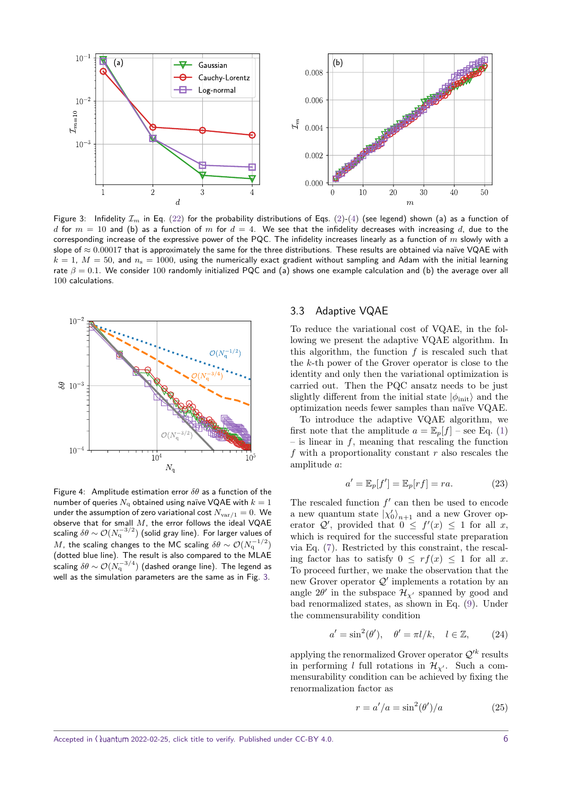<span id="page-5-0"></span>

Figure 3: Infidelity  $\mathcal{I}_m$  in Eq. [\(22\)](#page-4-0) for the probability distributions of Eqs. [\(2\)](#page-1-4)-[\(4\)](#page-1-5) (see legend) shown (a) as a function of *d* for  $m = 10$  and (b) as a function of  $m$  for  $d = 4$ . We see that the infidelity decreases with increasing  $d$ , due to the corresponding increase of the expressive power of the PQC. The infidelity increases linearly as a function of *m* slowly with a slope of ≈ 0*.*00017 that is approximately the same for the three distributions. These results are obtained via naïve VQAE with  $k = 1$ ,  $M = 50$ , and  $n_s = 1000$ , using the numerically exact gradient without sampling and Adam with the initial learning rate  $\beta = 0.1$ . We consider 100 randomly initialized PQC and (a) shows one example calculation and (b) the average over all 100 calculations.

<span id="page-5-1"></span>

Figure 4: Amplitude estimation error *δθ* as a function of the number of queries  $N_a$  obtained using naïve VQAE with  $k = 1$ under the assumption of zero variational cost  $N_{\text{var/1}} = 0$ . We observe that for small *M*, the error follows the ideal VQAE scaling  $\delta\theta\sim\mathcal{O}(N_{\rm q}^{-3/2})$  (solid gray line). For larger values of  $M$ , the scaling changes to the MC scaling  $\delta \theta \sim \mathcal{O}(N_{\bf q}^{-1/2})$ (dotted blue line). The result is also compared to the MLAE scaling  $\delta\theta\sim\mathcal{O}(N_{\mathrm{q}}^{-3/4})$  (dashed orange line). The legend as well as the simulation parameters are the same as in Fig. [3.](#page-5-0)

#### 3.3 Adaptive VQAE

To reduce the variational cost of VQAE, in the following we present the adaptive VQAE algorithm. In this algorithm, the function *f* is rescaled such that the *k*-th power of the Grover operator is close to the identity and only then the variational optimization is carried out. Then the PQC ansatz needs to be just slightly different from the initial state  $|\phi_{init}\rangle$  and the optimization needs fewer samples than naïve VQAE.

To introduce the adaptive VQAE algorithm, we first note that the amplitude  $a = \mathbb{E}_p[f]$  – see Eq. [\(1\)](#page-1-1) – is linear in *f*, meaning that rescaling the function *f* with a proportionality constant *r* also rescales the amplitude *a*:

$$
a' = \mathbb{E}_p[f'] = \mathbb{E}_p[rf] = ra.
$$
 (23)

The rescaled function  $f'$  can then be used to encode a new quantum state  $|\chi'_0\rangle_{n+1}$  and a new Grover operator  $Q'$ , provided that  $0 \leq f'(x) \leq 1$  for all *x*, which is required for the successful state preparation via Eq. [\(7\)](#page-1-2). Restricted by this constraint, the rescaling factor has to satisfy  $0 \leq rf(x) \leq 1$  for all *x*. To proceed further, we make the observation that the new Grover operator  $Q'$  implements a rotation by an angle  $2\theta'$  in the subspace  $\mathcal{H}_{\chi'}$  spanned by good and bad renormalized states, as shown in Eq. [\(9\)](#page-1-3). Under the commensurability condition

$$
a' = \sin^2(\theta'), \quad \theta' = \pi l/k, \quad l \in \mathbb{Z}, \tag{24}
$$

applying the renormalized Grover operator  $\mathcal{Q}'^k$  results in performing *l* full rotations in  $\mathcal{H}_{\gamma}$ . Such a commensurability condition can be achieved by fixing the renormalization factor as

<span id="page-5-3"></span><span id="page-5-2"></span>
$$
r = a'/a = \sin^2(\theta')/a \tag{25}
$$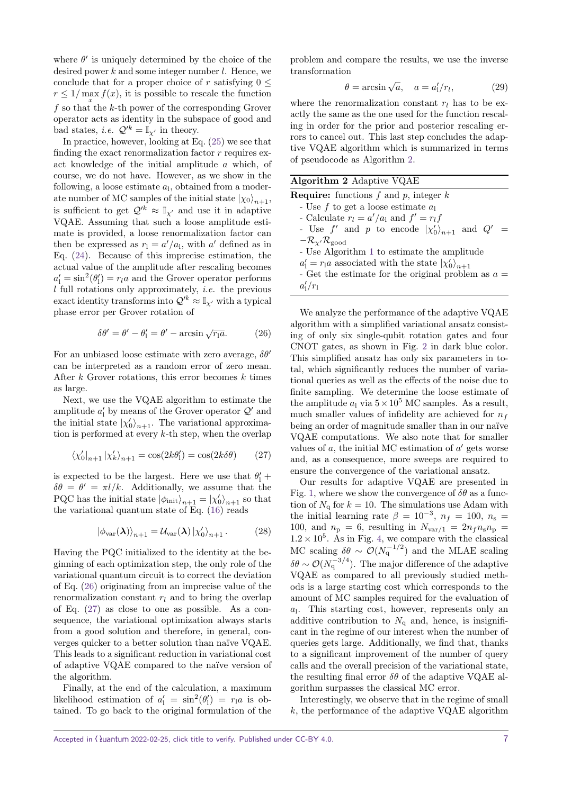where  $\theta'$  is uniquely determined by the choice of the desired power *k* and some integer number *l*. Hence, we conclude that for a proper choice of *r* satisfying  $0 \leq$  $r \leq 1/\max f(x)$ , it is possible to rescale the function  $f$  so that the *k*-th power of the corresponding Grover operator acts as identity in the subspace of good and bad states, *i.e.*  $Q'^k = \mathbb{I}_{\chi'}$  in theory.

In practice, however, looking at Eq. [\(25\)](#page-5-2) we see that finding the exact renormalization factor *r* requires exact knowledge of the initial amplitude *a* which, of course, we do not have. However, as we show in the following, a loose estimate *a*<sup>l</sup> , obtained from a moderate number of MC samples of the initial state  $|\chi_0\rangle_{n+1}$ , is sufficient to get  $\mathcal{Q}'^k \approx \mathbb{I}_{\mathcal{X}'}$  and use it in adaptive VQAE. Assuming that such a loose amplitude estimate is provided, a loose renormalization factor can then be expressed as  $r_1 = a'/a_1$ , with *a'* defined as in Eq. [\(24\)](#page-5-3). Because of this imprecise estimation, the actual value of the amplitude after rescaling becomes  $a'_1 = \sin^2(\theta'_1) = r_l a$  and the Grover operator performs *l* full rotations only approximately, i.e. the previous exact identity transforms into  $\mathcal{Q}'^k \approx \mathbb{I}_{\chi'}$  with a typical phase error per Grover rotation of

$$
\delta\theta' = \theta' - \theta'_1 = \theta' - \arcsin\sqrt{r_1 a}.
$$
 (26)

For an unbiased loose estimate with zero average,  $\delta\theta$ <sup>*'*</sup> can be interpreted as a random error of zero mean. After *k* Grover rotations, this error becomes *k* times as large.

Next, we use the VQAE algorithm to estimate the amplitude  $a'_1$  by means of the Grover operator  $\mathcal{Q}'$  and the initial state  $|\chi'_0\rangle_{n+1}$ . The variational approximation is performed at every *k*-th step, when the overlap

$$
\langle \chi_0' |_{n+1} | \chi_k' \rangle_{n+1} = \cos(2k\theta_1') = \cos(2k\delta\theta) \qquad (27)
$$

is expected to be the largest. Here we use that  $\theta_1'$  +  $\delta\theta = \theta' = \pi l/k$ . Additionally, we assume that the PQC has the initial state  $|\phi_{init}\rangle_{n+1} = |\chi'_0\rangle_{n+1}$  so that the variational quantum state of Eq. [\(16\)](#page-3-2) reads

$$
\left|\phi_{\text{var}}(\boldsymbol{\lambda})\right\rangle_{n+1} = \mathcal{U}_{\text{var}}(\boldsymbol{\lambda})\left|\chi_0'\right\rangle_{n+1}.\tag{28}
$$

Having the PQC initialized to the identity at the beginning of each optimization step, the only role of the variational quantum circuit is to correct the deviation of Eq. [\(26\)](#page-6-0) originating from an imprecise value of the renormalization constant  $r_l$  and to bring the overlap of Eq. [\(27\)](#page-6-1) as close to one as possible. As a consequence, the variational optimization always starts from a good solution and therefore, in general, converges quicker to a better solution than naïve VQAE. This leads to a significant reduction in variational cost of adaptive VQAE compared to the naïve version of the algorithm.

Finally, at the end of the calculation, a maximum likelihood estimation of  $a'_1 = \sin^2(\theta'_1) = r_1 a$  is obtained. To go back to the original formulation of the problem and compare the results, we use the inverse transformation

$$
\theta = \arcsin\sqrt{a}, \quad a = a'_1/r_l, \tag{29}
$$

where the renormalization constant  $r_l$  has to be exactly the same as the one used for the function rescaling in order for the prior and posterior rescaling errors to cancel out. This last step concludes the adaptive VQAE algorithm which is summarized in terms of pseudocode as Algorithm [2.](#page-6-2)

#### <span id="page-6-2"></span>**Algorithm 2** Adaptive VQAE

|                                                 | <b>Require:</b> functions f and p, integer k                     |
|-------------------------------------------------|------------------------------------------------------------------|
|                                                 | - Use $f$ to get a loose estimate $a_1$                          |
|                                                 | - Calculate $r_l = a'/a_l$ and $f' = r_l f$                      |
|                                                 | - Use f' and p to encode $ \chi'_0\rangle_{n+1}$<br>and $Q'$     |
| $-\mathcal{R}_{\chi'}\mathcal{R}_{\text{good}}$ |                                                                  |
|                                                 | - Use Algorithm 1 to estimate the amplitude                      |
|                                                 | $a'_1 = r_1 a$ associated with the state $ \chi'_0\rangle_{n+1}$ |
|                                                 | - Get the estimate for the original problem as $a =$             |
| $a'_1/r_1$                                      |                                                                  |
|                                                 |                                                                  |

<span id="page-6-0"></span>We analyze the performance of the adaptive VQAE algorithm with a simplified variational ansatz consisting of only six single-qubit rotation gates and four CNOT gates, as shown in Fig. [2](#page-3-0) in dark blue color. This simplified ansatz has only six parameters in total, which significantly reduces the number of variational queries as well as the effects of the noise due to finite sampling. We determine the loose estimate of the amplitude  $a_1$  via  $5 \times 10^5$  MC samples. As a result, much smaller values of infidelity are achieved for  $n_f$ being an order of magnitude smaller than in our naïve VQAE computations. We also note that for smaller values of  $a$ , the initial MC estimation of  $a'$  gets worse and, as a consequence, more sweeps are required to ensure the convergence of the variational ansatz.

<span id="page-6-1"></span>Our results for adaptive VQAE are presented in Fig. [1,](#page-0-0) where we show the convergence of  $\delta\theta$  as a function of  $N_a$  for  $k = 10$ . The simulations use Adam with the initial learning rate  $\beta = 10^{-3}$ ,  $n_f = 100$ ,  $n_s =$ 100, and  $n_p = 6$ , resulting in  $N_{var/1} = 2n_f n_s n_p$  $1.2 \times 10^5$ . As in Fig. [4,](#page-5-1) we compare with the classical MC scaling  $\delta\theta \sim \mathcal{O}(N_q^{-1/2})$  and the MLAE scaling  $\delta\theta \sim \mathcal{O}(N_q^{-3/4})$ . The major difference of the adaptive VQAE as compared to all previously studied methods is a large starting cost which corresponds to the amount of MC samples required for the evaluation of *a*l . This starting cost, however, represents only an additive contribution to  $N_q$  and, hence, is insignificant in the regime of our interest when the number of queries gets large. Additionally, we find that, thanks to a significant improvement of the number of query calls and the overall precision of the variational state, the resulting final error  $\delta\theta$  of the adaptive VQAE algorithm surpasses the classical MC error.

Interestingly, we observe that in the regime of small *k*, the performance of the adaptive VQAE algorithm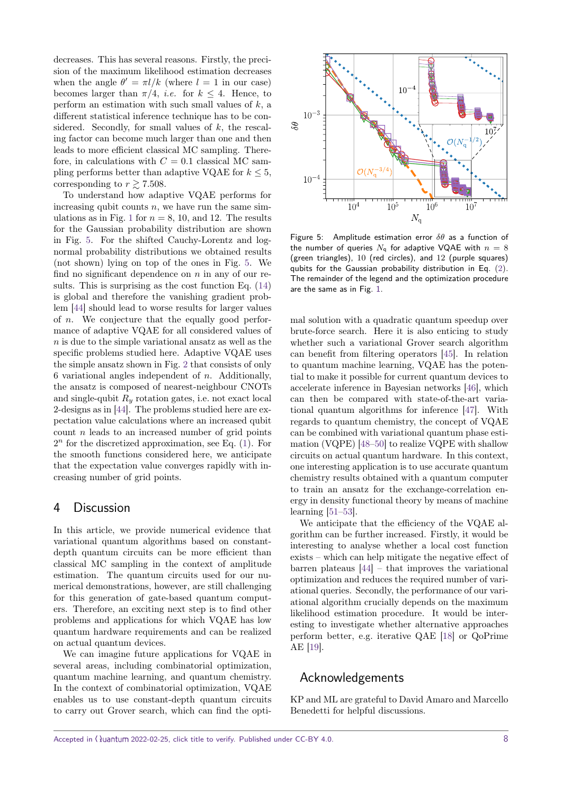decreases. This has several reasons. Firstly, the precision of the maximum likelihood estimation decreases when the angle  $\theta' = \pi l / k$  (where  $l = 1$  in our case) becomes larger than  $\pi/4$ , *i.e.* for  $k \leq 4$ . Hence, to perform an estimation with such small values of *k*, a different statistical inference technique has to be considered. Secondly, for small values of *k*, the rescaling factor can become much larger than one and then leads to more efficient classical MC sampling. Therefore, in calculations with  $C = 0.1$  classical MC sampling performs better than adaptive VQAE for  $k \leq 5$ , corresponding to  $r \gtrsim 7.508$ .

To understand how adaptive VQAE performs for increasing qubit counts *n*, we have run the same sim-ulations as in Fig. [1](#page-0-0) for  $n = 8$ , 10, and 12. The results for the Gaussian probability distribution are shown in Fig. [5.](#page-7-1) For the shifted Cauchy-Lorentz and lognormal probability distributions we obtained results (not shown) lying on top of the ones in Fig. [5.](#page-7-1) We find no significant dependence on *n* in any of our results. This is surprising as the cost function Eq. [\(14\)](#page-3-1) is global and therefore the vanishing gradient problem [\[44\]](#page-9-12) should lead to worse results for larger values of *n*. We conjecture that the equally good performance of adaptive VQAE for all considered values of *n* is due to the simple variational ansatz as well as the specific problems studied here. Adaptive VQAE uses the simple ansatz shown in Fig. [2](#page-3-0) that consists of only 6 variational angles independent of *n*. Additionally, the ansatz is composed of nearest-neighbour CNOTs and single-qubit *R<sup>y</sup>* rotation gates, i.e. not exact local 2-designs as in [\[44\]](#page-9-12). The problems studied here are expectation value calculations where an increased qubit count *n* leads to an increased number of grid points  $2<sup>n</sup>$  for the discretized approximation, see Eq.  $(1)$ . For the smooth functions considered here, we anticipate that the expectation value converges rapidly with increasing number of grid points.

## <span id="page-7-0"></span>4 Discussion

In this article, we provide numerical evidence that variational quantum algorithms based on constantdepth quantum circuits can be more efficient than classical MC sampling in the context of amplitude estimation. The quantum circuits used for our numerical demonstrations, however, are still challenging for this generation of gate-based quantum computers. Therefore, an exciting next step is to find other problems and applications for which VQAE has low quantum hardware requirements and can be realized on actual quantum devices.

We can imagine future applications for VQAE in several areas, including combinatorial optimization, quantum machine learning, and quantum chemistry. In the context of combinatorial optimization, VQAE enables us to use constant-depth quantum circuits to carry out Grover search, which can find the opti-

<span id="page-7-1"></span>

Figure 5: Amplitude estimation error *δθ* as a function of the number of queries  $N_q$  for adaptive VQAE with  $n = 8$ (green triangles), 10 (red circles), and 12 (purple squares) qubits for the Gaussian probability distribution in Eq. [\(2\)](#page-1-4). The remainder of the legend and the optimization procedure are the same as in Fig. [1.](#page-0-0)

mal solution with a quadratic quantum speedup over brute-force search. Here it is also enticing to study whether such a variational Grover search algorithm can benefit from filtering operators [\[45\]](#page-9-13). In relation to quantum machine learning, VQAE has the potential to make it possible for current quantum devices to accelerate inference in Bayesian networks [\[46\]](#page-10-0), which can then be compared with state-of-the-art variational quantum algorithms for inference [\[47\]](#page-10-1). With regards to quantum chemistry, the concept of VQAE can be combined with variational quantum phase estimation (VQPE) [\[48–](#page-10-2)[50\]](#page-10-3) to realize VQPE with shallow circuits on actual quantum hardware. In this context, one interesting application is to use accurate quantum chemistry results obtained with a quantum computer to train an ansatz for the exchange-correlation energy in density functional theory by means of machine learning [\[51–](#page-10-4)[53\]](#page-10-5).

We anticipate that the efficiency of the VQAE algorithm can be further increased. Firstly, it would be interesting to analyse whether a local cost function exists – which can help mitigate the negative effect of barren plateaus [\[44\]](#page-9-12) – that improves the variational optimization and reduces the required number of variational queries. Secondly, the performance of our variational algorithm crucially depends on the maximum likelihood estimation procedure. It would be interesting to investigate whether alternative approaches perform better, e.g. iterative QAE [\[18\]](#page-8-13) or QoPrime AE [\[19\]](#page-8-14).

## Acknowledgements

KP and ML are grateful to David Amaro and Marcello Benedetti for helpful discussions.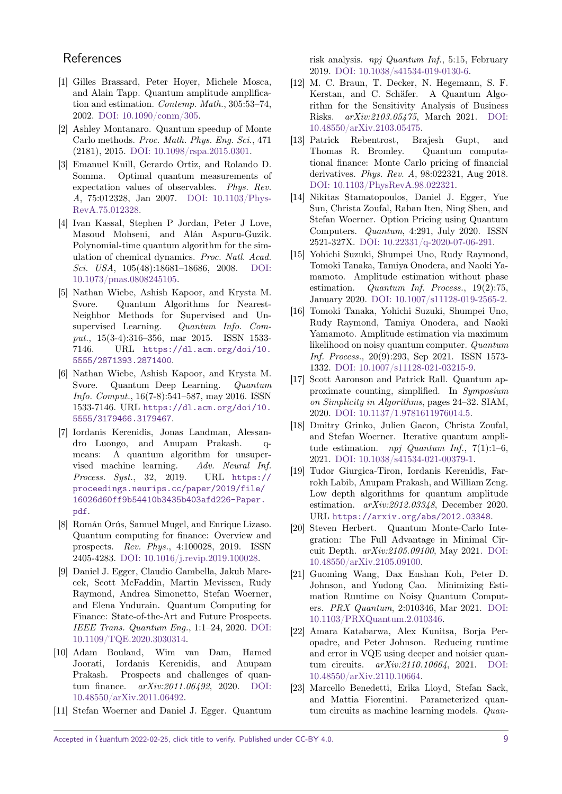## **References**

- <span id="page-8-0"></span>[1] Gilles Brassard, Peter Hoyer, Michele Mosca, and Alain Tapp. Quantum amplitude amplification and estimation. Contemp. Math., 305:53–74, 2002. [DOI: 10.1090/conm/305.](https://doi.org/10.1090/conm/305)
- <span id="page-8-1"></span>[2] Ashley Montanaro. Quantum speedup of Monte Carlo methods. Proc. Math. Phys. Eng. Sci., 471 (2181), 2015. [DOI: 10.1098/rspa.2015.0301.](https://doi.org/10.1098/rspa.2015.0301)
- <span id="page-8-2"></span>[3] Emanuel Knill, Gerardo Ortiz, and Rolando D. Somma. Optimal quantum measurements of expectation values of observables. Phys. Rev. A, 75:012328, Jan 2007. [DOI: 10.1103/Phys-](https://doi.org/10.1103/PhysRevA.75.012328)[RevA.75.012328.](https://doi.org/10.1103/PhysRevA.75.012328)
- <span id="page-8-3"></span>[4] Ivan Kassal, Stephen P Jordan, Peter J Love, Masoud Mohseni, and Alán Aspuru-Guzik. Polynomial-time quantum algorithm for the simulation of chemical dynamics. Proc. Natl. Acad. Sci. USA, 105(48):18681–18686, 2008. [DOI:](https://doi.org/10.1073/pnas.0808245105) [10.1073/pnas.0808245105.](https://doi.org/10.1073/pnas.0808245105)
- <span id="page-8-4"></span>[5] Nathan Wiebe, Ashish Kapoor, and Krysta M. Svore. Quantum Algorithms for Nearest-Neighbor Methods for Supervised and Unsupervised Learning. Quantum Info. Comput., 15(3-4):316–356, mar 2015. ISSN 1533- 7146. URL [https://dl.acm.org/doi/10.](https://dl.acm.org/doi/10.5555/2871393.2871400) [5555/2871393.2871400](https://dl.acm.org/doi/10.5555/2871393.2871400).
- [6] Nathan Wiebe, Ashish Kapoor, and Krysta M. Svore. Quantum Deep Learning. Quantum Info. Comput., 16(7-8):541–587, may 2016. ISSN 1533-7146. URL [https://dl.acm.org/doi/10.](https://dl.acm.org/doi/10.5555/3179466.3179467) [5555/3179466.3179467](https://dl.acm.org/doi/10.5555/3179466.3179467).
- <span id="page-8-5"></span>[7] Iordanis Kerenidis, Jonas Landman, Alessandro Luongo, and Anupam Prakash. qmeans: A quantum algorithm for unsupervised machine learning. Adv. Neural Inf. Process. Syst., 32, 2019. URL [https://](https://proceedings.neurips.cc/paper/2019/file/16026d60ff9b54410b3435b403afd226-Paper.pdf) [proceedings.neurips.cc/paper/2019/file/](https://proceedings.neurips.cc/paper/2019/file/16026d60ff9b54410b3435b403afd226-Paper.pdf) [16026d60ff9b54410b3435b403afd226-Paper.](https://proceedings.neurips.cc/paper/2019/file/16026d60ff9b54410b3435b403afd226-Paper.pdf) [pdf](https://proceedings.neurips.cc/paper/2019/file/16026d60ff9b54410b3435b403afd226-Paper.pdf).
- <span id="page-8-6"></span>[8] Román Orús, Samuel Mugel, and Enrique Lizaso. Quantum computing for finance: Overview and prospects. Rev. Phys., 4:100028, 2019. ISSN 2405-4283. [DOI: 10.1016/j.revip.2019.100028.](https://doi.org/10.1016/j.revip.2019.100028)
- [9] Daniel J. Egger, Claudio Gambella, Jakub Marecek, Scott McFaddin, Martin Mevissen, Rudy Raymond, Andrea Simonetto, Stefan Woerner, and Elena Yndurain. Quantum Computing for Finance: State-of-the-Art and Future Prospects. IEEE Trans. Quantum Eng., 1:1–24, 2020. [DOI:](https://doi.org/10.1109/TQE.2020.3030314) [10.1109/TQE.2020.3030314.](https://doi.org/10.1109/TQE.2020.3030314)
- <span id="page-8-7"></span>[10] Adam Bouland, Wim van Dam, Hamed Joorati, Iordanis Kerenidis, and Anupam Prakash. Prospects and challenges of quantum finance. arXiv:2011.06492, 2020. [DOI:](https://doi.org/10.48550/arXiv.2011.06492) [10.48550/arXiv.2011.06492.](https://doi.org/10.48550/arXiv.2011.06492)
- <span id="page-8-8"></span>[11] Stefan Woerner and Daniel J. Egger. Quantum

risk analysis. npj Quantum Inf., 5:15, February 2019. [DOI: 10.1038/s41534-019-0130-6.](https://doi.org/10.1038/s41534-019-0130-6)

- <span id="page-8-9"></span>[12] M. C. Braun, T. Decker, N. Hegemann, S. F. Kerstan, and C. Schäfer. A Quantum Algorithm for the Sensitivity Analysis of Business Risks. arXiv:2103.05475, March 2021. [DOI:](https://doi.org/10.48550/arXiv.2103.05475) [10.48550/arXiv.2103.05475.](https://doi.org/10.48550/arXiv.2103.05475)
- <span id="page-8-10"></span>[13] Patrick Rebentrost, Brajesh Gupt, and Thomas R. Bromley. Quantum computational finance: Monte Carlo pricing of financial derivatives. Phys. Rev. A, 98:022321, Aug 2018. [DOI: 10.1103/PhysRevA.98.022321.](https://doi.org/10.1103/PhysRevA.98.022321)
- <span id="page-8-11"></span>[14] Nikitas Stamatopoulos, Daniel J. Egger, Yue Sun, Christa Zoufal, Raban Iten, Ning Shen, and Stefan Woerner. Option Pricing using Quantum Computers. Quantum, 4:291, July 2020. ISSN 2521-327X. [DOI: 10.22331/q-2020-07-06-291.](https://doi.org/10.22331/q-2020-07-06-291)
- <span id="page-8-12"></span>[15] Yohichi Suzuki, Shumpei Uno, Rudy Raymond, Tomoki Tanaka, Tamiya Onodera, and Naoki Yamamoto. Amplitude estimation without phase estimation. Quantum Inf. Process., 19(2):75, January 2020. [DOI: 10.1007/s11128-019-2565-2.](https://doi.org/10.1007/s11128-019-2565-2)
- [16] Tomoki Tanaka, Yohichi Suzuki, Shumpei Uno, Rudy Raymond, Tamiya Onodera, and Naoki Yamamoto. Amplitude estimation via maximum likelihood on noisy quantum computer. Quantum Inf. Process., 20(9):293, Sep 2021. ISSN 1573- 1332. [DOI: 10.1007/s11128-021-03215-9.](https://doi.org/10.1007/s11128-021-03215-9)
- <span id="page-8-19"></span>[17] Scott Aaronson and Patrick Rall. Quantum approximate counting, simplified. In Symposium on Simplicity in Algorithms, pages 24–32. SIAM, 2020. [DOI: 10.1137/1.9781611976014.5.](https://doi.org/10.1137/1.9781611976014.5)
- <span id="page-8-13"></span>[18] Dmitry Grinko, Julien Gacon, Christa Zoufal, and Stefan Woerner. Iterative quantum amplitude estimation. npj Quantum Inf., 7(1):1-6, 2021. [DOI: 10.1038/s41534-021-00379-1.](https://doi.org/10.1038/s41534-021-00379-1)
- <span id="page-8-14"></span>[19] Tudor Giurgica-Tiron, Iordanis Kerenidis, Farrokh Labib, Anupam Prakash, and William Zeng. Low depth algorithms for quantum amplitude estimation. arXiv:2012.03348, December 2020. URL <https://arxiv.org/abs/2012.03348>.
- <span id="page-8-15"></span>[20] Steven Herbert. Quantum Monte-Carlo Integration: The Full Advantage in Minimal Circuit Depth. arXiv:2105.09100, May 2021. [DOI:](https://doi.org/10.48550/arXiv.2105.09100) [10.48550/arXiv.2105.09100.](https://doi.org/10.48550/arXiv.2105.09100)
- <span id="page-8-16"></span>[21] Guoming Wang, Dax Enshan Koh, Peter D. Johnson, and Yudong Cao. Minimizing Estimation Runtime on Noisy Quantum Computers. PRX Quantum, 2:010346, Mar 2021. [DOI:](https://doi.org/10.1103/PRXQuantum.2.010346) [10.1103/PRXQuantum.2.010346.](https://doi.org/10.1103/PRXQuantum.2.010346)
- <span id="page-8-17"></span>[22] Amara Katabarwa, Alex Kunitsa, Borja Peropadre, and Peter Johnson. Reducing runtime and error in VQE using deeper and noisier quantum circuits. arXiv:2110.10664, 2021. [DOI:](https://doi.org/10.48550/arXiv.2110.10664) [10.48550/arXiv.2110.10664.](https://doi.org/10.48550/arXiv.2110.10664)
- <span id="page-8-18"></span>[23] Marcello Benedetti, Erika Lloyd, Stefan Sack, and Mattia Fiorentini. Parameterized quantum circuits as machine learning models. Quan-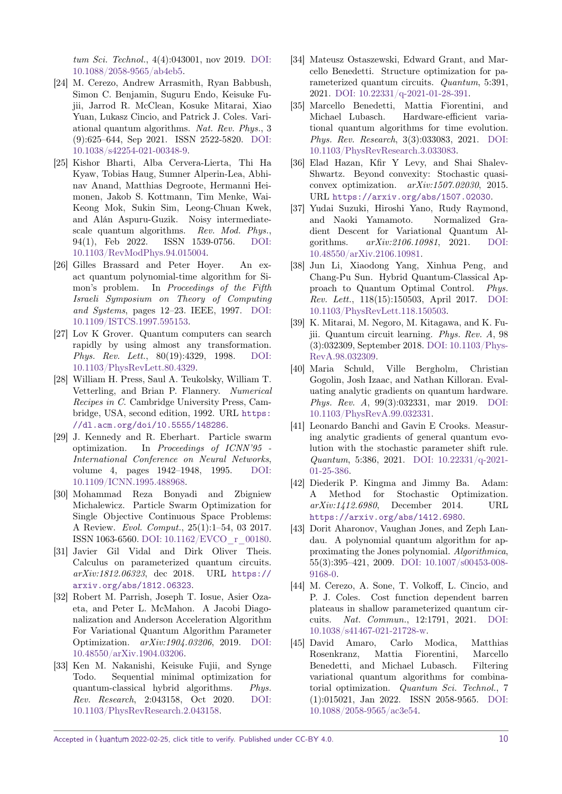tum Sci. Technol., 4(4):043001, nov 2019. [DOI:](https://doi.org/10.1088/2058-9565/ab4eb5) [10.1088/2058-9565/ab4eb5.](https://doi.org/10.1088/2058-9565/ab4eb5)

- [24] M. Cerezo, Andrew Arrasmith, Ryan Babbush, Simon C. Benjamin, Suguru Endo, Keisuke Fujii, Jarrod R. McClean, Kosuke Mitarai, Xiao Yuan, Lukasz Cincio, and Patrick J. Coles. Variational quantum algorithms. Nat. Rev. Phys., 3 (9):625–644, Sep 2021. ISSN 2522-5820. [DOI:](https://doi.org/10.1038/s42254-021-00348-9) [10.1038/s42254-021-00348-9.](https://doi.org/10.1038/s42254-021-00348-9)
- <span id="page-9-0"></span>[25] Kishor Bharti, Alba Cervera-Lierta, Thi Ha Kyaw, Tobias Haug, Sumner Alperin-Lea, Abhinav Anand, Matthias Degroote, Hermanni Heimonen, Jakob S. Kottmann, Tim Menke, Wai-Keong Mok, Sukin Sim, Leong-Chuan Kwek, and Alán Aspuru-Guzik. Noisy intermediatescale quantum algorithms. Rev. Mod. Phys., 94(1), Feb 2022. ISSN 1539-0756. [DOI:](https://doi.org/10.1103/RevModPhys.94.015004) [10.1103/RevModPhys.94.015004.](https://doi.org/10.1103/RevModPhys.94.015004)
- <span id="page-9-1"></span>[26] Gilles Brassard and Peter Hoyer. An exact quantum polynomial-time algorithm for Simon's problem. In Proceedings of the Fifth Israeli Symposium on Theory of Computing and Systems, pages 12–23. IEEE, 1997. [DOI:](https://doi.org/10.1109/ISTCS.1997.595153) [10.1109/ISTCS.1997.595153.](https://doi.org/10.1109/ISTCS.1997.595153)
- <span id="page-9-2"></span>[27] Lov K Grover. Quantum computers can search rapidly by using almost any transformation. Phys. Rev. Lett., 80(19):4329, 1998. [DOI:](https://doi.org/10.1103/PhysRevLett.80.4329) [10.1103/PhysRevLett.80.4329.](https://doi.org/10.1103/PhysRevLett.80.4329)
- <span id="page-9-3"></span>[28] William H. Press, Saul A. Teukolsky, William T. Vetterling, and Brian P. Flannery. Numerical Recipes in C. Cambridge University Press, Cambridge, USA, second edition, 1992. URL [https:](https://dl.acm.org/doi/10.5555/148286) [//dl.acm.org/doi/10.5555/148286](https://dl.acm.org/doi/10.5555/148286).
- <span id="page-9-4"></span>[29] J. Kennedy and R. Eberhart. Particle swarm optimization. In Proceedings of ICNN'95 - International Conference on Neural Networks, volume 4, pages 1942–1948, 1995. [DOI:](https://doi.org/10.1109/ICNN.1995.488968) [10.1109/ICNN.1995.488968.](https://doi.org/10.1109/ICNN.1995.488968)
- <span id="page-9-5"></span>[30] Mohammad Reza Bonyadi and Zbigniew Michalewicz. Particle Swarm Optimization for Single Objective Continuous Space Problems: A Review. Evol. Comput., 25(1):1–54, 03 2017. ISSN 1063-6560. [DOI: 10.1162/EVCO\\_r\\_00180.](https://doi.org/10.1162/EVCO_r_00180)
- <span id="page-9-6"></span>[31] Javier Gil Vidal and Dirk Oliver Theis. Calculus on parameterized quantum circuits. arXiv:1812.06323, dec 2018. URL [https://](https://arxiv.org/abs/1812.06323) [arxiv.org/abs/1812.06323](https://arxiv.org/abs/1812.06323).
- [32] Robert M. Parrish, Joseph T. Iosue, Asier Ozaeta, and Peter L. McMahon. A Jacobi Diagonalization and Anderson Acceleration Algorithm For Variational Quantum Algorithm Parameter Optimization. arXiv:1904.03206, 2019. [DOI:](https://doi.org/10.48550/arXiv.1904.03206) [10.48550/arXiv.1904.03206.](https://doi.org/10.48550/arXiv.1904.03206)
- [33] Ken M. Nakanishi, Keisuke Fujii, and Synge Todo. Sequential minimal optimization for quantum-classical hybrid algorithms. Phys. Rev. Research, 2:043158, Oct 2020. [DOI:](https://doi.org/10.1103/PhysRevResearch.2.043158) [10.1103/PhysRevResearch.2.043158.](https://doi.org/10.1103/PhysRevResearch.2.043158)
- [34] Mateusz Ostaszewski, Edward Grant, and Marcello Benedetti. Structure optimization for parameterized quantum circuits. Quantum, 5:391, 2021. [DOI: 10.22331/q-2021-01-28-391.](https://doi.org/10.22331/q-2021-01-28-391)
- <span id="page-9-7"></span>[35] Marcello Benedetti, Mattia Fiorentini, and Michael Lubasch. Hardware-efficient variational quantum algorithms for time evolution. Phys. Rev. Research, 3(3):033083, 2021. [DOI:](https://doi.org/10.1103/PhysRevResearch.3.033083) [10.1103/PhysRevResearch.3.033083.](https://doi.org/10.1103/PhysRevResearch.3.033083)
- <span id="page-9-8"></span>[36] Elad Hazan, Kfir Y Levy, and Shai Shalev-Shwartz. Beyond convexity: Stochastic quasiconvex optimization. arXiv:1507.02030, 2015. URL <https://arxiv.org/abs/1507.02030>.
- [37] Yudai Suzuki, Hiroshi Yano, Rudy Raymond, and Naoki Yamamoto. Normalized Gradient Descent for Variational Quantum Algorithms. arXiv:2106.10981, 2021. [DOI:](https://doi.org/10.48550/arXiv.2106.10981) [10.48550/arXiv.2106.10981.](https://doi.org/10.48550/arXiv.2106.10981)
- [38] Jun Li, Xiaodong Yang, Xinhua Peng, and Chang-Pu Sun. Hybrid Quantum-Classical Approach to Quantum Optimal Control. Phys. Rev. Lett., 118(15):150503, April 2017. [DOI:](https://doi.org/10.1103/PhysRevLett.118.150503) [10.1103/PhysRevLett.118.150503.](https://doi.org/10.1103/PhysRevLett.118.150503)
- [39] K. Mitarai, M. Negoro, M. Kitagawa, and K. Fujii. Quantum circuit learning. Phys. Rev. A, 98 (3):032309, September 2018. [DOI: 10.1103/Phys-](https://doi.org/10.1103/PhysRevA.98.032309)[RevA.98.032309.](https://doi.org/10.1103/PhysRevA.98.032309)
- [40] Maria Schuld, Ville Bergholm, Christian Gogolin, Josh Izaac, and Nathan Killoran. Evaluating analytic gradients on quantum hardware. Phys. Rev. A, 99(3):032331, mar 2019. [DOI:](https://doi.org/10.1103/PhysRevA.99.032331) [10.1103/PhysRevA.99.032331.](https://doi.org/10.1103/PhysRevA.99.032331)
- <span id="page-9-9"></span>[41] Leonardo Banchi and Gavin E Crooks. Measuring analytic gradients of general quantum evolution with the stochastic parameter shift rule. Quantum, 5:386, 2021. [DOI: 10.22331/q-2021-](https://doi.org/10.22331/q-2021-01-25-386) [01-25-386.](https://doi.org/10.22331/q-2021-01-25-386)
- <span id="page-9-10"></span>[42] Diederik P. Kingma and Jimmy Ba. Adam: A Method for Stochastic Optimization. arXiv:1412.6980, December 2014. URL <https://arxiv.org/abs/1412.6980>.
- <span id="page-9-11"></span>[43] Dorit Aharonov, Vaughan Jones, and Zeph Landau. A polynomial quantum algorithm for approximating the Jones polynomial. Algorithmica, 55(3):395–421, 2009. [DOI: 10.1007/s00453-008-](https://doi.org/10.1007/s00453-008-9168-0) [9168-0.](https://doi.org/10.1007/s00453-008-9168-0)
- <span id="page-9-12"></span>[44] M. Cerezo, A. Sone, T. Volkoff, L. Cincio, and P. J. Coles. Cost function dependent barren plateaus in shallow parameterized quantum circuits. Nat. Commun., 12:1791, 2021. [DOI:](https://doi.org/10.1038/s41467-021-21728-w) [10.1038/s41467-021-21728-w.](https://doi.org/10.1038/s41467-021-21728-w)
- <span id="page-9-13"></span>[45] David Amaro, Carlo Modica, Matthias Rosenkranz, Mattia Fiorentini, Marcello Benedetti, and Michael Lubasch. Filtering variational quantum algorithms for combinatorial optimization. Quantum Sci. Technol., 7 (1):015021, Jan 2022. ISSN 2058-9565. [DOI:](https://doi.org/10.1088/2058-9565/ac3e54) [10.1088/2058-9565/ac3e54.](https://doi.org/10.1088/2058-9565/ac3e54)

Accepted in  $\langle \lambda \rangle$ uantum 2022-02-25, click title to verify. Published under CC-BY 4.0. 10